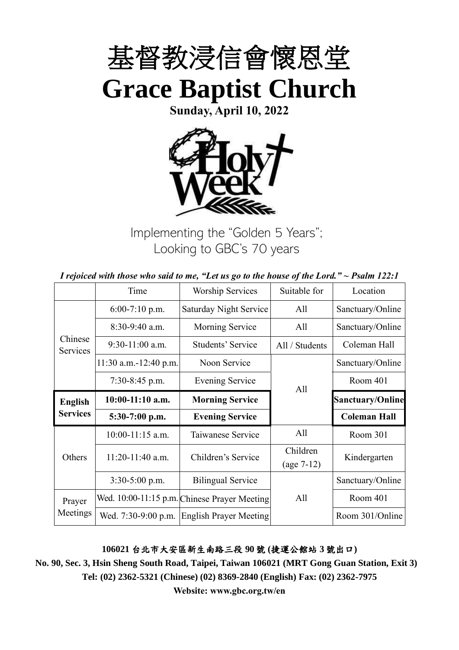

**Sunday, April 10, 2022**



Implementing the "Golden 5 Years"; Looking to GBC's 70 years

|  | I rejoiced with those who said to me, "Let us go to the house of the Lord." $\sim$ Psalm 122:1 |
|--|------------------------------------------------------------------------------------------------|
|--|------------------------------------------------------------------------------------------------|

|                     | Time                  | <b>Worship Services</b>                      | Suitable for             | Location                |
|---------------------|-----------------------|----------------------------------------------|--------------------------|-------------------------|
|                     | $6:00-7:10$ p.m.      | Saturday Night Service                       | All                      | Sanctuary/Online        |
|                     | 8:30-9:40 a.m.        | Morning Service                              | All                      | Sanctuary/Online        |
| Chinese<br>Services | $9:30-11:00$ a.m.     | Students' Service                            | All / Students           | Coleman Hall            |
|                     | 11:30 a.m.-12:40 p.m. | Noon Service                                 |                          | Sanctuary/Online        |
|                     | $7:30-8:45$ p.m.      | <b>Evening Service</b>                       | All                      | Room 401                |
| <b>English</b>      | $10:00-11:10$ a.m.    | <b>Morning Service</b>                       |                          | <b>Sanctuary/Online</b> |
| <b>Services</b>     | 5:30-7:00 p.m.        | <b>Evening Service</b>                       |                          | <b>Coleman Hall</b>     |
|                     | $10:00-11:15$ a.m.    | Taiwanese Service                            | All                      | Room 301                |
| Others              | $11:20-11:40$ a.m.    | Children's Service                           | Children<br>$(age 7-12)$ | Kindergarten            |
|                     | $3:30-5:00$ p.m.      | <b>Bilingual Service</b>                     |                          | Sanctuary/Online        |
| Prayer              |                       | Wed. 10:00-11:15 p.m. Chinese Prayer Meeting | All                      | Room 401                |
| Meetings            | Wed. 7:30-9:00 p.m.   | <b>English Prayer Meeting</b>                |                          | Room 301/Online         |

**106021** 台北市大安區新生南路三段 **90** 號 **(**捷運公館站 **3** 號出口**)**

**No. 90, Sec. 3, Hsin Sheng South Road, Taipei, Taiwan 106021 (MRT Gong Guan Station, Exit 3) Tel: (02) 2362-5321 (Chinese) (02) 8369-2840 (English) Fax: (02) 2362-7975**

**Website: www.gbc.org.tw/en**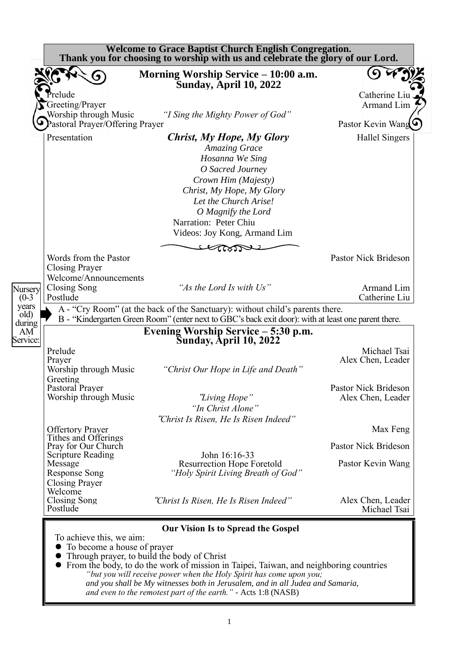|                                                                                          | Morning Worship Service – 10:00 a.m.<br><b>Sunday, April 10, 2022</b>                                                                                                                                                                                |                                                                  |
|------------------------------------------------------------------------------------------|------------------------------------------------------------------------------------------------------------------------------------------------------------------------------------------------------------------------------------------------------|------------------------------------------------------------------|
| Prelude<br>Greeting/Prayer                                                               |                                                                                                                                                                                                                                                      | Catherine Liu<br><b>Armand Lim</b>                               |
| Worship through Music<br>Pastoral Prayer/Offering Prayer                                 | "I Sing the Mighty Power of God"                                                                                                                                                                                                                     | Pastor Kevin Wang                                                |
| Presentation                                                                             | Christ, My Hope, My Glory<br><b>Amazing Grace</b><br>Hosanna We Sing<br>O Sacred Journey<br>Crown Him (Majesty)<br>Christ, My Hope, My Glory<br>Let the Church Arise!<br>O Magnify the Lord<br>Narration: Peter Chiu<br>Videos: Joy Kong, Armand Lim | <b>Hallel Singers</b>                                            |
| Words from the Pastor                                                                    |                                                                                                                                                                                                                                                      | Pastor Nick Brideson                                             |
| <b>Closing Prayer</b>                                                                    |                                                                                                                                                                                                                                                      |                                                                  |
| Welcome/Announcements<br>Closing Song<br>Postlude                                        | "As the Lord Is with Us"                                                                                                                                                                                                                             |                                                                  |
|                                                                                          | A - "Cry Room" (at the back of the Sanctuary): without child's parents there.                                                                                                                                                                        |                                                                  |
|                                                                                          | B - "Kindergarten Green Room" (enter next to GBC's back exit door): with at least one parent there.<br>Evening Worship Service - 5:30 p.m.                                                                                                           |                                                                  |
| Prelude<br>Prayer<br>Worship through Music                                               | <b>Sunday, April 10, 2022</b><br>"Christ Our Hope in Life and Death"                                                                                                                                                                                 | Armand Lim<br>Catherine Liu<br>Michael Tsai<br>Alex Chen, Leader |
| Greeting<br>Pastoral Prayer<br>Worship through Music                                     | "Living Hope"<br>"In Christ Alone"                                                                                                                                                                                                                   | Pastor Nick Brideson<br>Alex Chen, Leader                        |
| <b>Offertory Prayer</b>                                                                  | "Christ Is Risen, He Is Risen Indeed"                                                                                                                                                                                                                |                                                                  |
| Tithes and Offerings<br>Pray for Our Church                                              |                                                                                                                                                                                                                                                      |                                                                  |
| Scripture Reading<br>Message<br><b>Response Song</b><br><b>Closing Prayer</b><br>Welcome | John 16:16-33<br><b>Resurrection Hope Foretold</b><br>"Holy Spirit Living Breath of God"                                                                                                                                                             | Max Feng<br><b>Pastor Nick Brideson</b><br>Pastor Kevin Wang     |

⚫ From the body, to do the work of mission in Taipei, Taiwan, and neighboring countries *"but you will receive power when the Holy Spirit has come upon you; and you shall be My witnesses both in Jerusalem, and in all Judea and Samaria, and even to the remotest part of the earth." -* Acts 1:8 (NASB)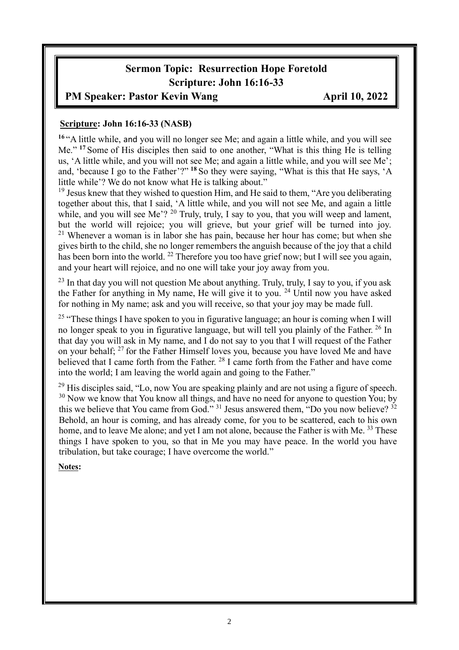# **Sermon Topic: Resurrection Hope Foretold Scripture: John 16:16-33**

#### **PM Speaker: Pastor Kevin Wang April 10, 2022**

#### **Scripture: John 16:16-33 (NASB)**

**<sup>16</sup>** "A little while, and you will no longer see Me; and again a little while, and you will see Me." **<sup>17</sup>** Some of His disciples then said to one another, "What is this thing He is telling us, 'A little while, and you will not see Me; and again a little while, and you will see Me'; and, 'because I go to the Father'?" **<sup>18</sup>** So they were saying, "What is this that He says, 'A little while'? We do not know what He is talking about."

 $19$  Jesus knew that they wished to question Him, and He said to them, "Are you deliberating together about this, that I said, 'A little while, and you will not see Me, and again a little while, and you will see Me'?  $^{20}$  Truly, truly, I say to you, that you will weep and lament, but the world will rejoice; you will grieve, but your grief will be turned into joy.  $21$  Whenever a woman is in labor she has pain, because her hour has come; but when she gives birth to the child, she no longer remembers the anguish because of the joy that a child has been born into the world. <sup>22</sup> Therefore you too have grief now; but I will see you again, and your heart will rejoice, and no one will take your joy away from you.

 $^{23}$  In that day you will not question Me about anything. Truly, truly, I say to you, if you ask the Father for anything in My name, He will give it to you. <sup>24</sup> Until now you have asked for nothing in My name; ask and you will receive, so that your joy may be made full.

<sup>25</sup> "These things I have spoken to you in figurative language; an hour is coming when I will no longer speak to you in figurative language, but will tell you plainly of the Father. <sup>26</sup> In that day you will ask in My name, and I do not say to you that I will request of the Father on your behalf;  $27$  for the Father Himself loves you, because you have loved Me and have believed that I came forth from the Father. <sup>28</sup> I came forth from the Father and have come into the world; I am leaving the world again and going to the Father."

 $29$  His disciples said. "Lo, now You are speaking plainly and are not using a figure of speech. <sup>30</sup> Now we know that You know all things, and have no need for anyone to question You; by this we believe that You came from God."  $31$  Jesus answered them, "Do you now believe?  $32$ Behold, an hour is coming, and has already come, for you to be scattered, each to his own home, and to leave Me alone; and yet I am not alone, because the Father is with Me. <sup>33</sup> These things I have spoken to you, so that in Me you may have peace. In the world you have tribulation, but take courage; I have overcome the world."

#### **Notes:**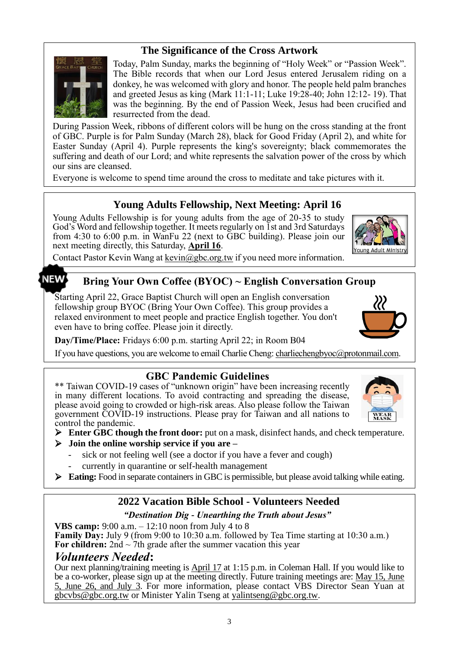## **The Significance of the Cross Artwork**



Today, Palm Sunday, marks the beginning of "Holy Week" or "Passion Week". The Bible records that when our Lord Jesus entered Jerusalem riding on a donkey, he was welcomed with glory and honor. The people held palm branches and greeted Jesus as king (Mark 11:1-11; Luke 19:28-40; John 12:12- 19). That was the beginning. By the end of Passion Week, Jesus had been crucified and resurrected from the dead.

During Passion Week, ribbons of different colors will be hung on the cross standing at the front of GBC. Purple is for Palm Sunday (March 28), black for Good Friday (April 2), and white for Easter Sunday (April 4). Purple represents the king's sovereignty; black commemorates the suffering and death of our Lord; and white represents the salvation power of the cross by which our sins are cleansed.

Everyone is welcome to spend time around the cross to meditate and take pictures with it.

## **Young Adults Fellowship, Next Meeting: April 16**

Young Adults Fellowship is for young adults from the age of 20-35 to study God's Word and fellowship together. It meets regularly on 1st and 3rd Saturdays from 4:30 to 6:00 p.m. in WanFu 22 (next to GBC building). Please join our next meeting directly, this Saturday, **April 16**.



Contact Pastor Kevin Wang at kevin@gbc.org.tw if you need more information.

#### NEW

## **Bring Your Own Coffee (BYOC) ~ English Conversation Group**

Starting April 22, Grace Baptist Church will open an English conversation fellowship group BYOC (Bring Your Own Coffee). This group provides a relaxed environment to meet people and practice English together. You don't even have to bring coffee. Please join it directly.



**Day/Time/Place:** Fridays 6:00 p.m. starting April 22; in Room B04

If you have questions, you are welcome to email Charlie Cheng: charliechengbyoc@protonmail.com.

#### **GBC Pandemic Guidelines**

\*\* Taiwan COVID-19 cases of "unknown origin" have been increasing recently in many different locations. To avoid contracting and spreading the disease, please avoid going to crowded or high-risk areas. Also please follow the Taiwan government COVID-19 instructions. Please pray for Taiwan and all nations to control the pandemic.



- ➢ **Enter GBC though the front door:** put on a mask, disinfect hands, and check temperature.
- ➢ **Join the online worship service if you are –**
	- sick or not feeling well (see a doctor if you have a fever and cough)
	- currently in quarantine or self-health management
- ➢ **Eating:** Food in separate containers in GBC is permissible, but please avoid talking while eating.

## **2022 Vacation Bible School - Volunteers Needed**

#### *"Destination Dig - Unearthing the Truth about Jesus"*

**VBS camp:** 9:00 a.m. – 12:10 noon from July 4 to 8 **Family Day:** July 9 (from 9:00 to 10:30 a.m. followed by Tea Time starting at 10:30 a.m.) **For children:** 2nd  $\sim$  7th grade after the summer vacation this year

# *Volunteers Needed***:**

Our next planning/training meeting is April 17 at 1:15 p.m. in Coleman Hall. If you would like to be a co-worker, please sign up at the meeting directly. Future training meetings are: May 15, June 5, June 26, and July 3. For more information, please contact VBS Director Sean Yuan at [gbcvbs@gbc.org.tw](mailto:gbcvbs@gbc.org.tw) or Minister Yalin Tseng at yalintseng@gbc.org.tw.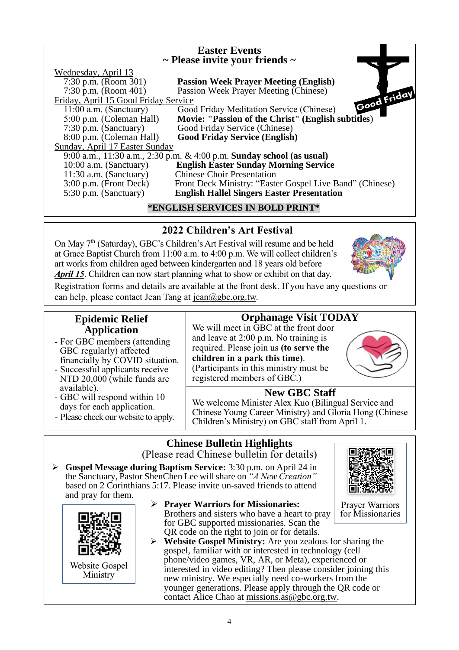#### **Easter Events ~ Please invite your friends ~** Wednesday, April  $13$ <br>7:30 p.m. (Room 301) **Passion Week Prayer Meeting (English)** 7:30 p.m. (Room 401) Passion Week Prayer Meeting (Chinese) Friday, April 15 Good Friday Service<br>11:00 a.m. (Sanctuary) Good  $\overline{Good}$  Friday Meditation Service (Chinese) 5:00 p.m. (Coleman Hall) **Movie: "Passion of the Christ" (English subtitles**) 7:30 p.m. (Sanctuary) Good Friday Service (Chinese) 8:00 p.m. (Coleman Hall) **Good Friday Service (English)** Sunday, April 17 Easter Sunday 9:00 a.m., 11:30 a.m., 2:30 p.m. & 4:00 p.m. **Sunday school (as usual)** 10:00 a.m. (Sanctuary) **English Easter Sunday Morning Service** 11:30 a.m. (Sanctuary) Chinese Choir Presentation<br>3:00 p.m. (Front Deck) Front Deck Ministry: "Easte Front Deck Ministry: "Easter Gospel Live Band" (Chinese) 5:30 p.m. (Sanctuary) **English Hallel Singers Easter Presentation \*ENGLISH SERVICES IN BOLD PRINT\***

# **2022 Children's Art Festival**

On May 7<sup>th</sup> (Saturday), GBC's Children's Art Festival will resume and be held at Grace Baptist Church from 11:00 a.m. to 4:00 p.m. We will collect children's art works from children aged between kindergarten and 18 years old before *April 15*. Children can now start planning what to show or exhibit on that day.

Registration forms and details are available at the front desk. If you have any questions or can help, please contact Jean Tang at  $\frac{1}{(2.0 \text{ kg})(\text{kg})c \cdot \text{org.tw}}$ .

## **Epidemic Relief Application**

- For GBC members (attending GBC regularly) affected financially by COVID situation.
- Successful applicants receive NTD 20,000 (while funds are available).
- GBC will respond within 10 days for each application.
- Please check our website to apply.

# **Orphanage Visit TODAY**

We will meet in GBC at the front door and leave at 2:00 p.m. No training is required. Please join us **(to serve the children in a park this time)**. (Participants in this ministry must be

registered members of GBC.) **New GBC Staff** We welcome Minister Alex Kuo (Bilingual Service and Chinese Young Career Ministry) and Gloria Hong (Chinese Children's Ministry) on GBC staff from April 1.

# **Chinese Bulletin Highlights**

(Please read Chinese bulletin for details)

- ➢ **Gospel Message during Baptism Service:** 3:30 p.m. on April 24 in the Sanctuary, Pastor ShenChen Lee will share on *"A New Creation"*  based on 2 Corinthians 5:17. Please invite un-saved friends to attend and pray for them.
	- ➢ **Prayer Warriors for Missionaries:** Brothers and sisters who have a heart to pray for GBC supported missionaries. Scan the QR code on the right to join or for details.
	- ➢ **Website Gospel Ministry:** Are you zealous for sharing the gospel, familiar with or interested in technology (cell phone/video games, VR, AR, or Meta), experienced or interested in video editing? Then please consider joining this new ministry. We especially need co-workers from the younger generations. Please apply through the QR code or contact Alice Chao at [missions.as@gbc.org.tw.](mailto:missions.as@gbc.org.tw)



Prayer Warriors for Missionaries





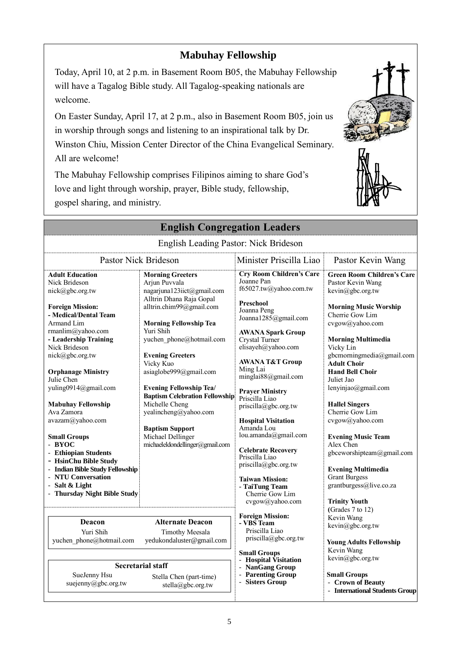# **Mabuhay Fellowship**

Today, April 10, at 2 p.m. in Basement Room B05, the Mabuhay Fellowship will have a Tagalog Bible study. All Tagalog-speaking nationals are welcome.

On Easter Sunday, April 17, at 2 p.m., also in Basement Room B05, join us in worship through songs and listening to an inspirational talk by Dr. Winston Chiu, Mission Center Director of the China Evangelical Seminary. All are welcome!

The Mabuhay Fellowship comprises Filipinos aiming to share God's love and light through worship, prayer, Bible study, fellowship, gospel sharing, and ministry.



| <b>English Congregation Leaders</b>                                                                                                                                                                                                                                                                                                                                                                                                                                                         |                                                                                                                                                                                                                                                                                                                                                                                                                                                                                    |                                                                                                                                                                                                                                                                                                                                                                                                                                                                                                           |                                                                                                                                                                                                                                                                                                                                                                                                                                                                                                         |  |
|---------------------------------------------------------------------------------------------------------------------------------------------------------------------------------------------------------------------------------------------------------------------------------------------------------------------------------------------------------------------------------------------------------------------------------------------------------------------------------------------|------------------------------------------------------------------------------------------------------------------------------------------------------------------------------------------------------------------------------------------------------------------------------------------------------------------------------------------------------------------------------------------------------------------------------------------------------------------------------------|-----------------------------------------------------------------------------------------------------------------------------------------------------------------------------------------------------------------------------------------------------------------------------------------------------------------------------------------------------------------------------------------------------------------------------------------------------------------------------------------------------------|---------------------------------------------------------------------------------------------------------------------------------------------------------------------------------------------------------------------------------------------------------------------------------------------------------------------------------------------------------------------------------------------------------------------------------------------------------------------------------------------------------|--|
| English Leading Pastor: Nick Brideson                                                                                                                                                                                                                                                                                                                                                                                                                                                       |                                                                                                                                                                                                                                                                                                                                                                                                                                                                                    |                                                                                                                                                                                                                                                                                                                                                                                                                                                                                                           |                                                                                                                                                                                                                                                                                                                                                                                                                                                                                                         |  |
| <b>Pastor Nick Brideson</b>                                                                                                                                                                                                                                                                                                                                                                                                                                                                 |                                                                                                                                                                                                                                                                                                                                                                                                                                                                                    | Minister Priscilla Liao                                                                                                                                                                                                                                                                                                                                                                                                                                                                                   | Pastor Kevin Wang                                                                                                                                                                                                                                                                                                                                                                                                                                                                                       |  |
| <b>Adult Education</b><br>Nick Brideson<br>nick@gbc.org.tw<br><b>Foreign Mission:</b><br>- Medical/Dental Team<br>Armand Lim<br>rmanlim@yahoo.com<br>- Leadership Training<br>Nick Brideson<br>nick@gbc.org.tw<br><b>Orphanage Ministry</b><br>Julie Chen<br>yuling0914@gmail.com<br><b>Mabuhay Fellowship</b><br>Ava Zamora<br>avazam@yahoo.com<br><b>Small Groups</b><br>- BYOC<br>- Ethiopian Students<br>- HsinChu Bible Study<br>- Indian Bible Study Fellowship<br>- NTU Conversation | <b>Morning Greeters</b><br>Arjun Puvvala<br>nagarjuna123iict@gmail.com<br>Alltrin Dhana Raja Gopal<br>alltrin.chim99@gmail.com<br><b>Morning Fellowship Tea</b><br>Yuri Shih<br>yuchen phone@hotmail.com<br><b>Evening Greeters</b><br>Vicky Kuo<br>asiaglobe999@gmail.com<br><b>Evening Fellowship Tea/</b><br><b>Baptism Celebration Fellowship</b><br>Michelle Cheng<br>yealincheng@yahoo.com<br><b>Baptism Support</b><br>Michael Dellinger<br>michaeleldondellinger@gmail.com | <b>Cry Room Children's Care</b><br>Joanne Pan<br>f65027.tw@yahoo.com.tw<br>Preschool<br>Joanna Peng<br>Joanna1285@gmail.com<br><b>AWANA Spark Group</b><br>Crystal Turner<br>elisayeh@yahoo.com<br><b>AWANA T&amp;T Group</b><br>Ming Lai<br>minglai88@gmail.com<br><b>Prayer Ministry</b><br>Priscilla Liao<br>priscilla@gbc.org.tw<br><b>Hospital Visitation</b><br>Amanda Lou<br>lou.amanda@gmail.com<br><b>Celebrate Recovery</b><br>Priscilla Liao<br>priscilla@gbc.org.tw<br><b>Taiwan Mission:</b> | <b>Green Room Children's Care</b><br>Pastor Kevin Wang<br>kevin@gbc.org.tw<br><b>Morning Music Worship</b><br>Cherrie Gow Lim<br>cvgow@yahoo.com<br><b>Morning Multimedia</b><br>Vicky Lin<br>gbcmorningmedia@gmail.com<br><b>Adult Choir</b><br><b>Hand Bell Choir</b><br>Juliet Jao<br>lenyinjao@gmail.com<br><b>Hallel Singers</b><br>Cherrie Gow Lim<br>cvgow@yahoo.com<br><b>Evening Music Team</b><br>Alex Chen<br>gbceworshipteam@gmail.com<br><b>Evening Multimedia</b><br><b>Grant Burgess</b> |  |
| - Salt & Light<br>- Thursday Night Bible Study                                                                                                                                                                                                                                                                                                                                                                                                                                              |                                                                                                                                                                                                                                                                                                                                                                                                                                                                                    | - TaiTung Team<br>Cherrie Gow Lim<br>cvgow@yahoo.com                                                                                                                                                                                                                                                                                                                                                                                                                                                      | grantburgess@live.co.za<br><b>Trinity Youth</b>                                                                                                                                                                                                                                                                                                                                                                                                                                                         |  |
| <b>Deacon</b><br><b>Alternate Deacon</b><br>Yuri Shih<br><b>Timothy Meesala</b><br>yedukondaluster@gmail.com<br>yuchen phone@hotmail.com                                                                                                                                                                                                                                                                                                                                                    |                                                                                                                                                                                                                                                                                                                                                                                                                                                                                    | <b>Foreign Mission:</b><br>- VBS Team<br>Priscilla Liao<br>$priscilla(\partial gbc.org.tw)$<br><b>Small Groups</b>                                                                                                                                                                                                                                                                                                                                                                                        | (Grades 7 to 12)<br>Kevin Wang<br>kevin@gbc.org.tw<br><b>Young Adults Fellowship</b><br>Kevin Wang                                                                                                                                                                                                                                                                                                                                                                                                      |  |
| <b>Secretarial staff</b><br>SueJenny Hsu<br>Stella Chen (part-time)<br>suejenny@gbc.org.tw<br>stella@gbc.org.tw                                                                                                                                                                                                                                                                                                                                                                             |                                                                                                                                                                                                                                                                                                                                                                                                                                                                                    | - Hospital Visitation<br>NanGang Group<br>- Parenting Group<br>- Sisters Group                                                                                                                                                                                                                                                                                                                                                                                                                            | kevin@gbc.org.tw<br><b>Small Groups</b><br>- Crown of Beauty<br>- International Students Group                                                                                                                                                                                                                                                                                                                                                                                                          |  |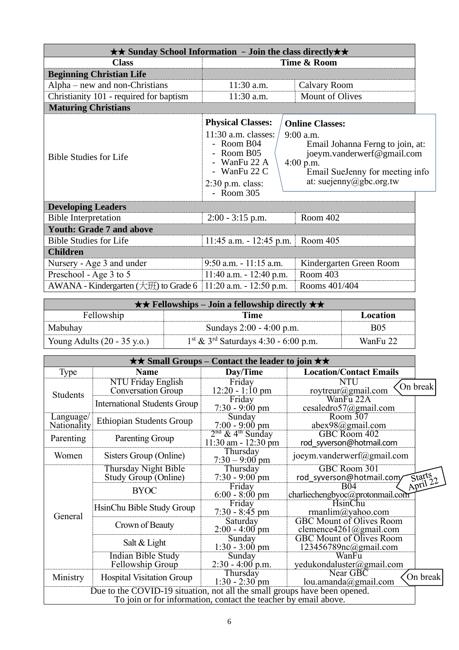| <b>★★ Sunday School Information - Join the class directly *</b> ★ |                                                                                                                                                   |                                                                                                                                                                                      |  |  |
|-------------------------------------------------------------------|---------------------------------------------------------------------------------------------------------------------------------------------------|--------------------------------------------------------------------------------------------------------------------------------------------------------------------------------------|--|--|
| <b>Class</b>                                                      | Time & Room                                                                                                                                       |                                                                                                                                                                                      |  |  |
| <b>Beginning Christian Life</b>                                   |                                                                                                                                                   |                                                                                                                                                                                      |  |  |
| Alpha – new and non-Christians                                    | $11:30$ a.m.                                                                                                                                      | Calvary Room                                                                                                                                                                         |  |  |
| Christianity 101 - required for baptism                           | Mount of Olives<br>11:30 a.m.                                                                                                                     |                                                                                                                                                                                      |  |  |
| <b>Maturing Christians</b>                                        |                                                                                                                                                   |                                                                                                                                                                                      |  |  |
| <b>Bible Studies for Life</b>                                     | <b>Physical Classes:</b><br>$11:30$ a.m. classes:<br>- Room B04<br>- Room B05<br>- WanFu 22 A<br>- WanFu 22 C<br>$2:30$ p.m. class:<br>- Room 305 | <b>Online Classes:</b><br>$9:00$ a.m.<br>Email Johanna Ferng to join, at:<br>joeym.vanderwerf@gmail.com<br>$4:00$ p.m.<br>Email SueJenny for meeting info<br>at: suejenny@gbc.org.tw |  |  |
| <b>Developing Leaders</b>                                         |                                                                                                                                                   |                                                                                                                                                                                      |  |  |
| <b>Bible Interpretation</b>                                       | $2:00 - 3:15$ p.m.                                                                                                                                | Room 402                                                                                                                                                                             |  |  |
| <b>Youth: Grade 7 and above</b>                                   |                                                                                                                                                   |                                                                                                                                                                                      |  |  |
| <b>Bible Studies for Life</b>                                     | $11:45$ a.m. $-12:45$ p.m.                                                                                                                        | Room 405                                                                                                                                                                             |  |  |
| <b>Children</b>                                                   |                                                                                                                                                   |                                                                                                                                                                                      |  |  |
| Nursery - Age 3 and under                                         | $9:50$ a.m. $-11:15$ a.m.                                                                                                                         | Kindergarten Green Room                                                                                                                                                              |  |  |
| Preschool - Age 3 to 5                                            | $11:40$ a.m. $-12:40$ p.m.                                                                                                                        | Room 403                                                                                                                                                                             |  |  |
| AWANA - Kindergarten $(\pm 1)$ to Grade 6                         | $11:20$ a.m. $-12:50$ p.m.                                                                                                                        | Rooms 401/404                                                                                                                                                                        |  |  |

| $\star \star$ Fellowships – Join a fellowship directly $\star \star$ |                                                              |            |  |
|----------------------------------------------------------------------|--------------------------------------------------------------|------------|--|
| Fellowship                                                           | Time                                                         | Location   |  |
| Mabuhay                                                              | Sundays 2:00 - 4:00 p.m.                                     | <b>B05</b> |  |
| Young Adults $(20 - 35 \text{ y.o.})$                                | $1^{\text{st}}$ & $3^{\text{rd}}$ Saturdays 4:30 - 6:00 p.m. | WanFu 22   |  |

| $\star\star$ Small Groups – Contact the leader to join $\star\star$                                                                          |                                                        |                                                           |                                                           |                    |
|----------------------------------------------------------------------------------------------------------------------------------------------|--------------------------------------------------------|-----------------------------------------------------------|-----------------------------------------------------------|--------------------|
| Type                                                                                                                                         | <b>Name</b>                                            | Day/Time                                                  | <b>Location/Contact Emails</b>                            |                    |
| <b>Students</b>                                                                                                                              | <b>NTU Friday English</b><br><b>Conversation Group</b> | Friday<br>$12:20 - 1:10$ pm                               | NTU<br>roytreur@gmail.com                                 | On break           |
|                                                                                                                                              | <b>International Students Group</b>                    | Friday<br>$7:30 - 9:00$ pm                                | WanFu 22A<br>cesaledro57@gmail.com                        |                    |
| Language/<br>Nationality                                                                                                                     | <b>Ethiopian Students Group</b>                        | Sunday<br>$7:00 - 9:00 \text{ pm}$                        | Room 307<br>abex98@gmail.com                              |                    |
| Parenting                                                                                                                                    | Parenting Group                                        | $2nd$ & 4 <sup>th</sup> Sunday<br>$11:30$ am - $12:30$ pm | GBC Room 402<br>rod syverson@hotmail.com                  |                    |
| Women                                                                                                                                        | Sisters Group (Online)                                 | Thursday<br>$7:30 - 9:00$ pm                              | joeym.vanderwerf@gmail.com                                |                    |
|                                                                                                                                              | Thursday Night Bible<br>Study Group (Online)           | Thursday<br>$7:30 - 9:00$ pm                              | GBC Room 301<br>rod syverson@hotmail.com/                 | Starts<br>April 22 |
|                                                                                                                                              | <b>BYOC</b>                                            | Friday<br>$6:00 - 8:00 \text{ pm}$                        | <b>B04</b><br>charliechengbyoc@protonmail.com             |                    |
| General                                                                                                                                      | HsinChu Bible Study Group                              | Friday<br>$7:30 - 8:45$ pm                                | <b>HsinChu</b><br>rmanlim@yahoo.com                       |                    |
|                                                                                                                                              | Crown of Beauty                                        | Saturday<br>$2:00 - 4:00$ pm                              | <b>GBC Mount of Olives Room</b><br>clemence4261@gmail.com |                    |
|                                                                                                                                              | Salt & Light                                           | Sunday<br>$1:30 - 3:00$ pm                                | <b>GBC Mount of Olives Room</b><br>123456789nc@gmail.com  |                    |
|                                                                                                                                              | <b>Indian Bible Study</b><br>Fellowship Group          | Sunday<br>$2:30 - 4:00$ p.m.                              | WanFu<br>yedukondaluster@gmail.com                        |                    |
| Ministry                                                                                                                                     | <b>Hospital Visitation Group</b>                       | Thursday<br>$1:30 - 2:30$ pm                              | Near GBC<br>lou.amanda@gmail.com                          | On break           |
| Due to the COVID-19 situation, not all the small groups have been opened.<br>To join or for information, contact the teacher by email above. |                                                        |                                                           |                                                           |                    |